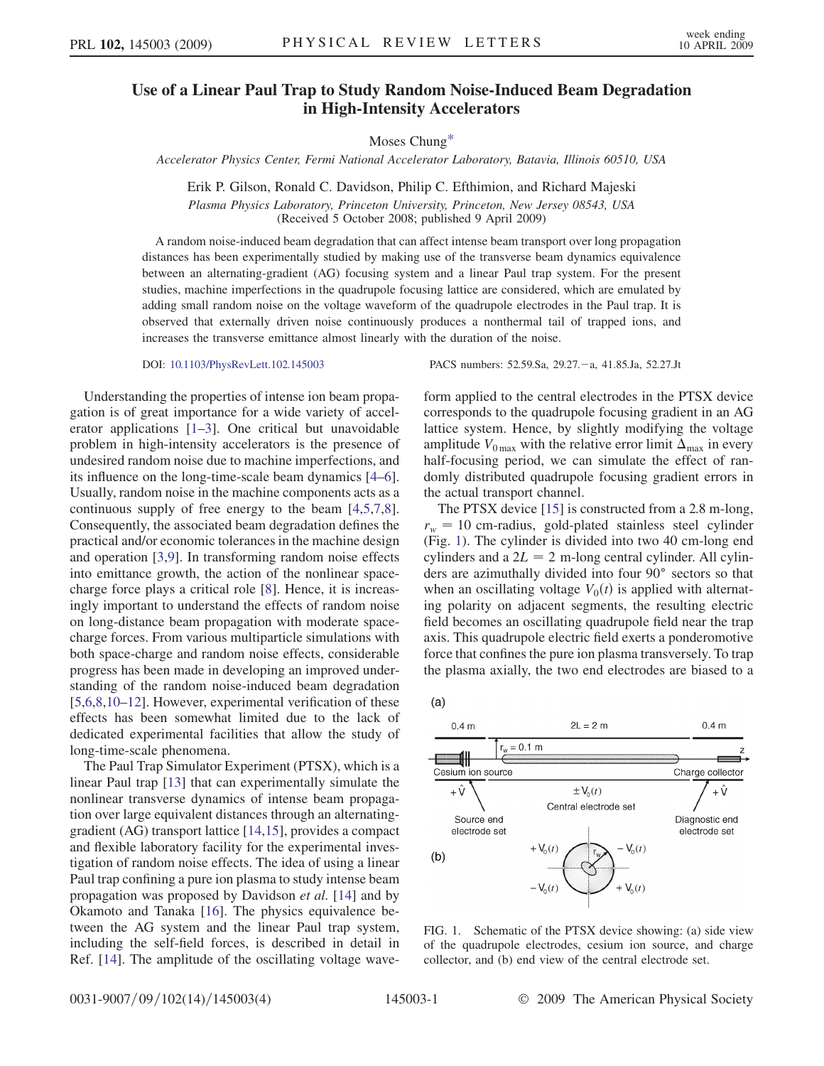## Use of a Linear Paul Trap to Study Random Noise-Induced Beam Degradation in High-Intensity Accelerators

Moses Chun[g\\*](#page-3-0)

Accelerator Physics Center, Fermi National Accelerator Laboratory, Batavia, Illinois 60510, USA

Erik P. Gilson, Ronald C. Davidson, Philip C. Efthimion, and Richard Majeski Plasma Physics Laboratory, Princeton University, Princeton, New Jersey 08543, USA (Received 5 October 2008; published 9 April 2009)

A random noise-induced beam degradation that can affect intense beam transport over long propagation distances has been experimentally studied by making use of the transverse beam dynamics equivalence between an alternating-gradient (AG) focusing system and a linear Paul trap system. For the present studies, machine imperfections in the quadrupole focusing lattice are considered, which are emulated by adding small random noise on the voltage waveform of the quadrupole electrodes in the Paul trap. It is observed that externally driven noise continuously produces a nonthermal tail of trapped ions, and increases the transverse emittance almost linearly with the duration of the noise.

Understanding the properties of intense ion beam propagation is of great importance for a wide variety of accelerator applications [1–3]. One critical but unavoidable problem in high-intensity accelerators is the presence of undesired random noise due to machine imperfections, and its influence on the long-time-scale beam dynamics [4–6]. Usually, random noise in the machine components acts as a continuous supply of free energy to the beam [4,5,7,8]. Consequently, the associated beam degradation defines the practical and/or economic tolerances in the machine design and operation [3,9]. In transforming random noise effects into emittance growth, the action of the nonlinear spacecharge force plays a critical role [8]. Hence, it is increasingly important to understand the effects of random noise on long-distance beam propagation with moderate spacecharge forces. From various multiparticle simulations with both space-charge and random noise effects, considerable progress has been made in developing an improved understanding of the random noise-induced beam degradation [5,6,8,10–12]. However, experimental verification of these effects has been somewhat limited due to the lack of dedicated experimental facilities that allow the study of long-time-scale phenomena.

The Paul Trap Simulator Experiment (PTSX), which is a linear Paul trap [13] that can experimentally simulate the nonlinear transverse dynamics of intense beam propagation over large equivalent distances through an alternatinggradient (AG) transport lattice [14,15], provides a compact and flexible laboratory facility for the experimental investigation of random noise effects. The idea of using a linear Paul trap confining a pure ion plasma to study intense beam propagation was proposed by Davidson et al. [14] and by Okamoto and Tanaka [16]. The physics equivalence between the AG system and the linear Paul trap system, including the self-field forces, is described in detail in Ref. [14]. The amplitude of the oscillating voltage wave-

DOI: [10.1103/PhysRevLett.102.145003](http://dx.doi.org/10.1103/PhysRevLett.102.145003) PACS numbers: 52.59.Sa, 29.27. -- a, 41.85.Ja, 52.27.Jt

form applied to the central electrodes in the PTSX device corresponds to the quadrupole focusing gradient in an AG lattice system. Hence, by slightly modifying the voltage amplitude  $V_{0\text{max}}$  with the relative error limit  $\Delta_{\text{max}}$  in every half-focusing period, we can simulate the effect of randomly distributed quadrupole focusing gradient errors in the actual transport channel.

The PTSX device [15] is constructed from a 2.8 m-long,  $r_w = 10$  cm-radius, gold-plated stainless steel cylinder (Fig. 1). The cylinder is divided into two 40 cm-long end cylinders and a  $2L = 2$  m-long central cylinder. All cylinders are azimuthally divided into four 90° sectors so that when an oscillating voltage  $V_0(t)$  is applied with alternating polarity on adjacent segments, the resulting electric field becomes an oscillating quadrupole field near the trap axis. This quadrupole electric field exerts a ponderomotive force that confines the pure ion plasma transversely. To trap the plasma axially, the two end electrodes are biased to a

 $(a)$ 



FIG. 1. Schematic of the PTSX device showing: (a) side view of the quadrupole electrodes, cesium ion source, and charge collector, and (b) end view of the central electrode set.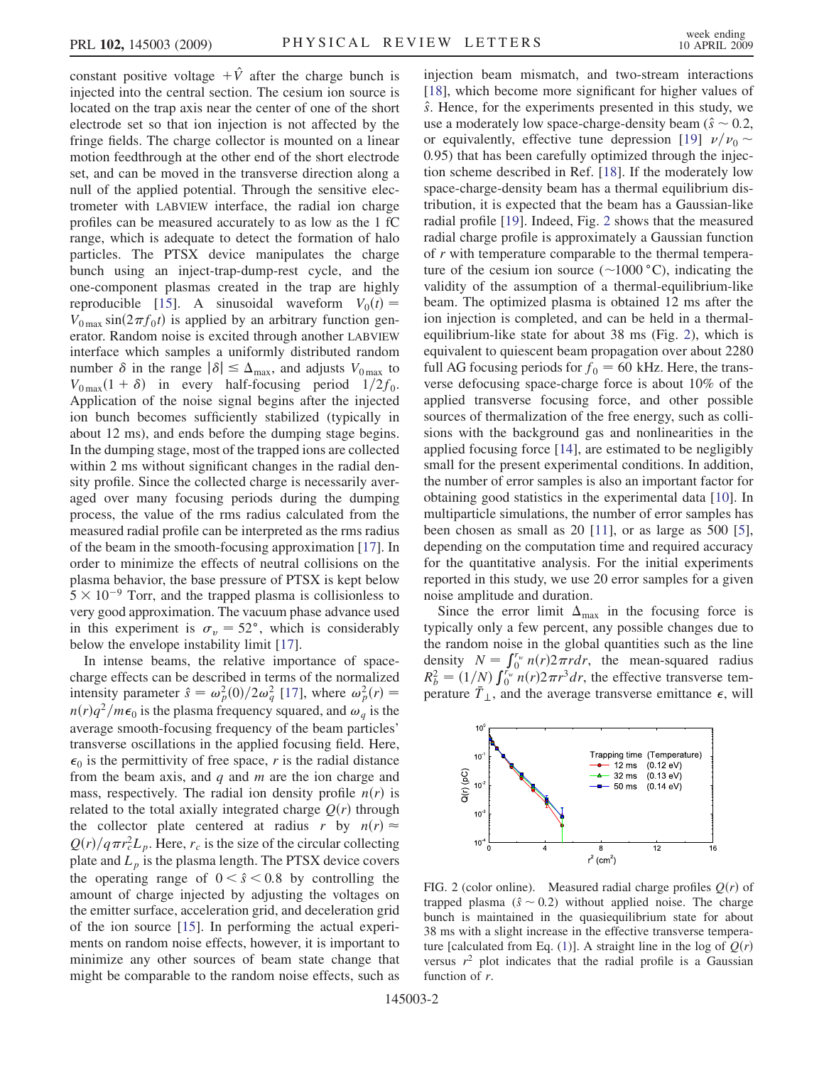constant positive voltage  $+\hat{V}$  after the charge bunch is injected into the central section. The cesium ion source is located on the trap axis near the center of one of the short electrode set so that ion injection is not affected by the fringe fields. The charge collector is mounted on a linear motion feedthrough at the other end of the short electrode set, and can be moved in the transverse direction along a null of the applied potential. Through the sensitive electrometer with LABVIEW interface, the radial ion charge profiles can be measured accurately to as low as the 1 fC range, which is adequate to detect the formation of halo particles. The PTSX device manipulates the charge bunch using an inject-trap-dump-rest cycle, and the one-component plasmas created in the trap are highly reproducible [15]. A sinusoidal waveform  $V_0(t) =$  $V_{0\text{max}}$  sin $(2\pi f_0 t)$  is applied by an arbitrary function generator. Random noise is excited through another LABVIEW interface which samples a uniformly distributed random number  $\delta$  in the range  $|\delta| \leq \Delta_{\text{max}}$ , and adjusts  $V_{0\text{max}}$  to  $V_{0\text{max}}(1+\delta)$  in every half-focusing period  $1/2f_0$ . Application of the noise signal begins after the injected ion bunch becomes sufficiently stabilized (typically in about 12 ms), and ends before the dumping stage begins. In the dumping stage, most of the trapped ions are collected within 2 ms without significant changes in the radial density profile. Since the collected charge is necessarily averaged over many focusing periods during the dumping process, the value of the rms radius calculated from the measured radial profile can be interpreted as the rms radius of the beam in the smooth-focusing approximation [17]. In order to minimize the effects of neutral collisions on the plasma behavior, the base pressure of PTSX is kept below  $5 \times 10^{-9}$  Torr, and the trapped plasma is collisionless to very good approximation. The vacuum phase advance used in this experiment is  $\sigma_v = 52^\circ$ , which is considerably below the envelope instability limit [17].

In intense beams, the relative importance of spacecharge effects can be described in terms of the normalized intensity parameter  $\hat{s} = \omega_p^2(0)/2\omega_q^2$  [17], where  $\omega_p^2(r) =$  $n(r)q^2/m\epsilon_0$  is the plasma frequency squared, and  $\omega_a$  is the average smooth-focusing frequency of the beam particles' transverse oscillations in the applied focusing field. Here,  $\epsilon_0$  is the permittivity of free space, r is the radial distance from the beam axis, and  $q$  and  $m$  are the ion charge and mass, respectively. The radial ion density profile  $n(r)$  is related to the total axially integrated charge  $O(r)$  through the collector plate centered at radius r by  $n(r) \approx$  $Q(r)/q\pi r_c^2 L_p$ . Here,  $r_c$  is the size of the circular collecting plate and  $L_p$  is the plasma length. The PTSX device covers the operating range of  $0 < \hat{s} < 0.8$  by controlling the amount of charge injected by adjusting the voltages on the emitter surface, acceleration grid, and deceleration grid of the ion source [15]. In performing the actual experiments on random noise effects, however, it is important to minimize any other sources of beam state change that might be comparable to the random noise effects, such as injection beam mismatch, and two-stream interactions [18], which become more significant for higher values of  $\hat{s}$ . Hence, for the experiments presented in this study, we use a moderately low space-charge-density beam ( $\hat{s} \sim 0.2$ , or equivalently, effective tune depression [19]  $\nu/\nu_0 \sim$ 0:95) that has been carefully optimized through the injection scheme described in Ref. [18]. If the moderately low space-charge-density beam has a thermal equilibrium distribution, it is expected that the beam has a Gaussian-like radial profile [19]. Indeed, Fig. 2 shows that the measured radial charge profile is approximately a Gaussian function of r with temperature comparable to the thermal temperature of the cesium ion source  $(\sim 1000 \degree C)$ , indicating the validity of the assumption of a thermal-equilibrium-like beam. The optimized plasma is obtained 12 ms after the ion injection is completed, and can be held in a thermalequilibrium-like state for about 38 ms (Fig. 2), which is equivalent to quiescent beam propagation over about 2280 full AG focusing periods for  $f_0 = 60$  kHz. Here, the transverse defocusing space-charge force is about 10% of the applied transverse focusing force, and other possible sources of thermalization of the free energy, such as collisions with the background gas and nonlinearities in the applied focusing force [14], are estimated to be negligibly small for the present experimental conditions. In addition, the number of error samples is also an important factor for obtaining good statistics in the experimental data [10]. In multiparticle simulations, the number of error samples has been chosen as small as 20 [11], or as large as 500 [5], depending on the computation time and required accuracy for the quantitative analysis. For the initial experiments reported in this study, we use 20 error samples for a given noise amplitude and duration.

Since the error limit  $\Delta_{\text{max}}$  in the focusing force is typically only a few percent, any possible changes due to the random noise in the global quantities such as the line density  $N = \int_0^{r_w} n(r) 2\pi r dr$ , the mean-squared radius  $R_b^2 = (1/N) \int_0^{r_w} n(r) 2\pi r^3 dr$ , the effective transverse temperature  $\overline{T}_{\perp}$ , and the average transverse emittance  $\epsilon$ , will



FIG. 2 (color online). Measured radial charge profiles  $Q(r)$  of trapped plasma  $(\hat{s} \sim 0.2)$  without applied noise. The charge bunch is maintained in the quasiequilibrium state for about 38 ms with a slight increase in the effective transverse tempera-ture [calculated from Eq. [\(1](#page-2-0))]. A straight line in the log of  $Q(r)$ versus  $r^2$  plot indicates that the radial profile is a Gaussian function of r.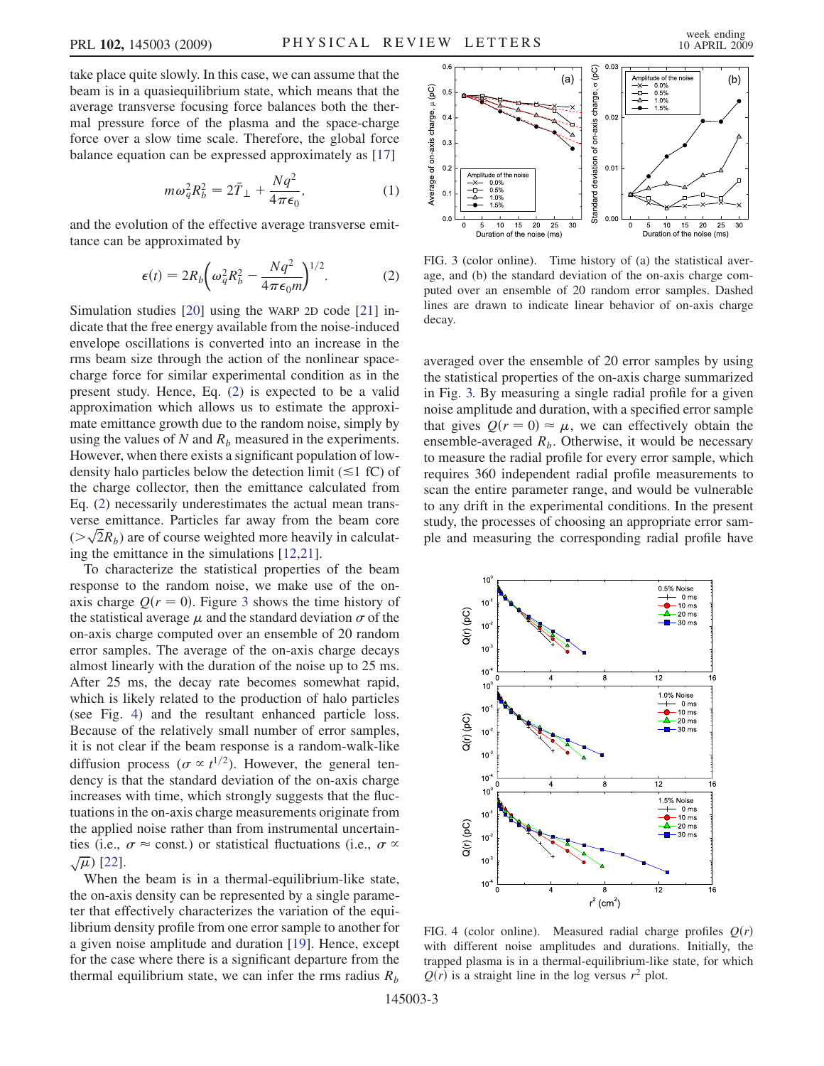<span id="page-2-2"></span>take place quite slowly. In this case, we can assume that the beam is in a quasiequilibrium state, which means that the average transverse focusing force balances both the thermal pressure force of the plasma and the space-charge force over a slow time scale. Therefore, the global force balance equation can be expressed approximately as [17]

$$
m\omega_q^2 R_b^2 = 2\bar{T}_\perp + \frac{Nq^2}{4\pi\epsilon_0},\tag{1}
$$

<span id="page-2-1"></span><span id="page-2-0"></span>and the evolution of the effective average transverse emittance can be approximated by

$$
\epsilon(t) = 2R_b \left(\omega_q^2 R_b^2 - \frac{Nq^2}{4\pi\epsilon_0 m}\right)^{1/2}.
$$
 (2)

Simulation studies [20] using the WARP 2D code [21] indicate that the free energy available from the noise-induced envelope oscillations is converted into an increase in the rms beam size through the action of the nonlinear spacecharge force for similar experimental condition as in the present study. Hence, Eq. ([2\)](#page-2-1) is expected to be a valid approximation which allows us to estimate the approximate emittance growth due to the random noise, simply by using the values of N and  $R<sub>b</sub>$  measured in the experiments. However, when there exists a significant population of lowdensity halo particles below the detection limit (*&*1 fC) of the charge collector, then the emittance calculated from Eq. [\(2](#page-2-1)) necessarily underestimates the actual mean transverse emittance. Particles far away from the beam core  $(\sqrt{2}R_b)$  are of course weighted more heavily in calculating the emittance in the simulations [12,21].

To characterize the statistical properties of the beam response to the random noise, we make use of the onaxis charge  $Q(r = 0)$ . Figure 3 shows the time history of the statistical average  $\mu$  and the standard deviation  $\sigma$  of the on-axis charge computed over an ensemble of 20 random error samples. The average of the on-axis charge decays almost linearly with the duration of the noise up to 25 ms. After 25 ms, the decay rate becomes somewhat rapid, which is likely related to the production of halo particles (see Fig. 4) and the resultant enhanced particle loss. Because of the relatively small number of error samples, it is not clear if the beam response is a random-walk-like diffusion process ( $\sigma \propto t^{1/2}$ ). However, the general tendency is that the standard deviation of the on-axis charge increases with time, which strongly suggests that the fluctuations in the on-axis charge measurements originate from the applied noise rather than from instrumental uncertainties (i.e.,  $\sigma \approx$  const.) or statistical fluctuations (i.e.,  $\sigma \propto$  $\sqrt{\mu}$ ) [22].

When the beam is in a thermal-equilibrium-like state, the on-axis density can be represented by a single parameter that effectively characterizes the variation of the equilibrium density profile from one error sample to another for a given noise amplitude and duration [19]. Hence, except for the case where there is a significant departure from the thermal equilibrium state, we can infer the rms radius  $R_b$ 



FIG. 3 (color online). Time history of (a) the statistical average, and (b) the standard deviation of the on-axis charge computed over an ensemble of 20 random error samples. Dashed lines are drawn to indicate linear behavior of on-axis charge decay.

averaged over the ensemble of 20 error samples by using the statistical properties of the on-axis charge summarized in Fig. 3. By measuring a single radial profile for a given noise amplitude and duration, with a specified error sample that gives  $Q(r = 0) \approx \mu$ , we can effectively obtain the ensemble-averaged  $R_b$ . Otherwise, it would be necessary to measure the radial profile for every error sample, which requires 360 independent radial profile measurements to scan the entire parameter range, and would be vulnerable to any drift in the experimental conditions. In the present study, the processes of choosing an appropriate error sample and measuring the corresponding radial profile have



FIG. 4 (color online). Measured radial charge profiles  $Q(r)$ with different noise amplitudes and durations. Initially, the trapped plasma is in a thermal-equilibrium-like state, for which  $Q(r)$  is a straight line in the log versus  $r^2$  plot.